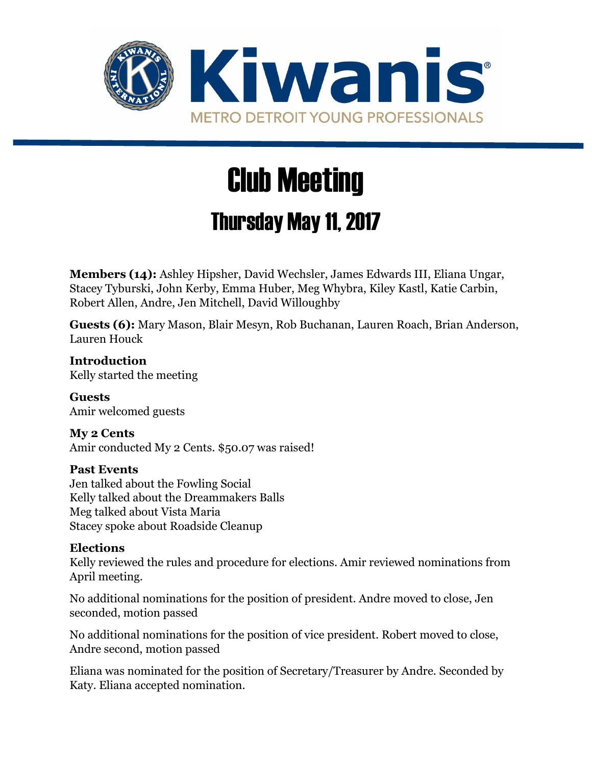

# Club Meeting

## Thursday May 11, 2017

**Members (14):** Ashley Hipsher, David Wechsler, James Edwards III, Eliana Ungar, Stacey Tyburski, John Kerby, Emma Huber, Meg Whybra, Kiley Kastl, Katie Carbin, Robert Allen, Andre, Jen Mitchell, David Willoughby

**Guests (6):** Mary Mason, Blair Mesyn, Rob Buchanan, Lauren Roach, Brian Anderson, Lauren Houck

**Introduction** Kelly started the meeting

**Guests** Amir welcomed guests

**My 2 Cents** Amir conducted My 2 Cents. \$50.07 was raised!

### **Past Events**

Jen talked about the Fowling Social Kelly talked about the Dreammakers Balls Meg talked about Vista Maria Stacey spoke about Roadside Cleanup

### **Elections**

Kelly reviewed the rules and procedure for elections. Amir reviewed nominations from April meeting.

No additional nominations for the position of president. Andre moved to close, Jen seconded, motion passed

No additional nominations for the position of vice president. Robert moved to close, Andre second, motion passed

Eliana was nominated for the position of Secretary/Treasurer by Andre. Seconded by Katy. Eliana accepted nomination.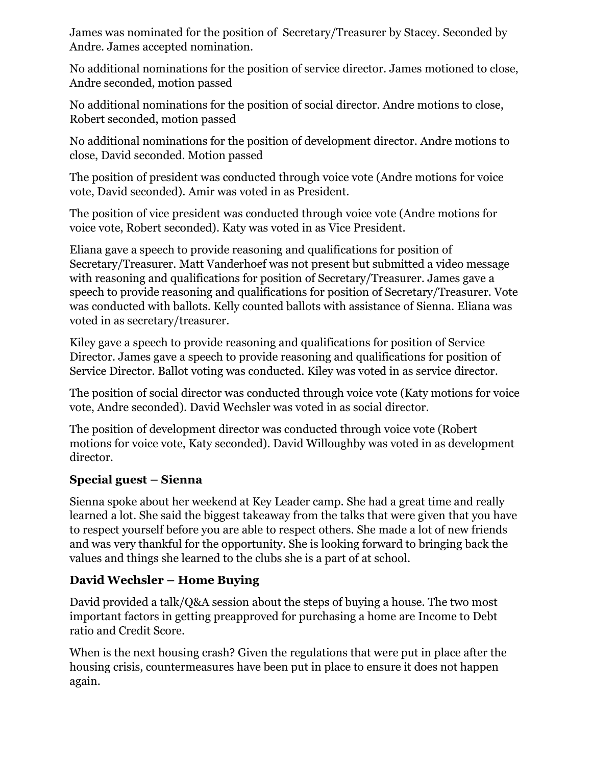James was nominated for the position of Secretary/Treasurer by Stacey. Seconded by Andre. James accepted nomination.

No additional nominations for the position of service director. James motioned to close, Andre seconded, motion passed

No additional nominations for the position of social director. Andre motions to close, Robert seconded, motion passed

No additional nominations for the position of development director. Andre motions to close, David seconded. Motion passed

The position of president was conducted through voice vote (Andre motions for voice vote, David seconded). Amir was voted in as President.

The position of vice president was conducted through voice vote (Andre motions for voice vote, Robert seconded). Katy was voted in as Vice President.

Eliana gave a speech to provide reasoning and qualifications for position of Secretary/Treasurer. Matt Vanderhoef was not present but submitted a video message with reasoning and qualifications for position of Secretary/Treasurer. James gave a speech to provide reasoning and qualifications for position of Secretary/Treasurer. Vote was conducted with ballots. Kelly counted ballots with assistance of Sienna. Eliana was voted in as secretary/treasurer.

Kiley gave a speech to provide reasoning and qualifications for position of Service Director. James gave a speech to provide reasoning and qualifications for position of Service Director. Ballot voting was conducted. Kiley was voted in as service director.

The position of social director was conducted through voice vote (Katy motions for voice vote, Andre seconded). David Wechsler was voted in as social director.

The position of development director was conducted through voice vote (Robert motions for voice vote, Katy seconded). David Willoughby was voted in as development director.

### **Special guest – Sienna**

Sienna spoke about her weekend at Key Leader camp. She had a great time and really learned a lot. She said the biggest takeaway from the talks that were given that you have to respect yourself before you are able to respect others. She made a lot of new friends and was very thankful for the opportunity. She is looking forward to bringing back the values and things she learned to the clubs she is a part of at school.

### **David Wechsler – Home Buying**

David provided a talk/Q&A session about the steps of buying a house. The two most important factors in getting preapproved for purchasing a home are Income to Debt ratio and Credit Score.

When is the next housing crash? Given the regulations that were put in place after the housing crisis, countermeasures have been put in place to ensure it does not happen again.